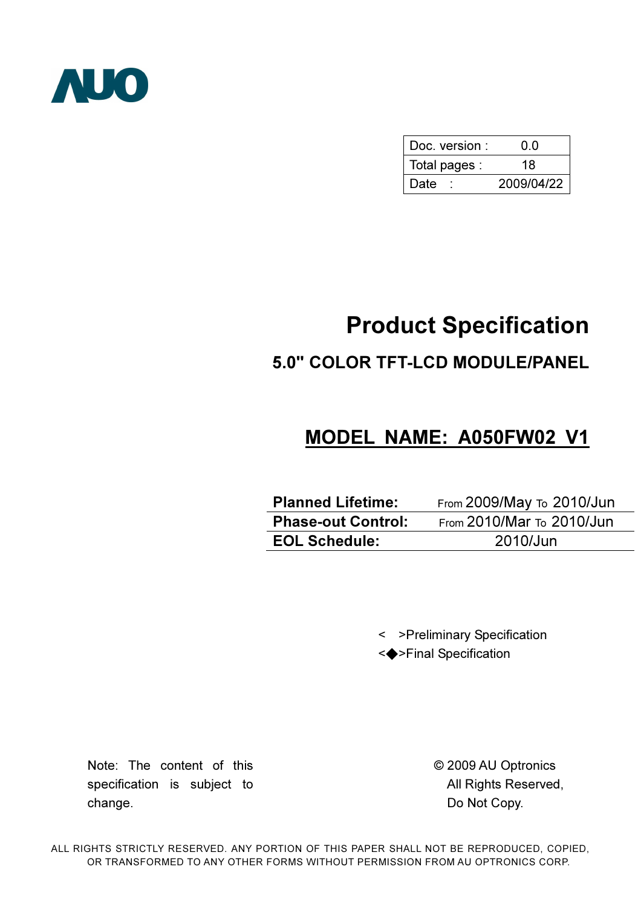

| Doc. version: | ი ი        |  |  |
|---------------|------------|--|--|
| Total pages : | 18         |  |  |
| Date          | 2009/04/22 |  |  |

# Product Specification

## 5.0" COLOR TFT-LCD MODULE/PANEL

## MODEL NAME: A050FW02 V1

| <b>Planned Lifetime:</b>  | <b>From 2009/May To 2010/Jun</b> |  |  |  |
|---------------------------|----------------------------------|--|--|--|
| <b>Phase-out Control:</b> | <b>From 2010/Mar To 2010/Jun</b> |  |  |  |
| <b>EOL Schedule:</b>      | 2010/Jun                         |  |  |  |

< >Preliminary Specification <**◆>Final Specification** 

Note: The content of this specification is subject to change.

 © 2009 AU Optronics All Rights Reserved, Do Not Copy.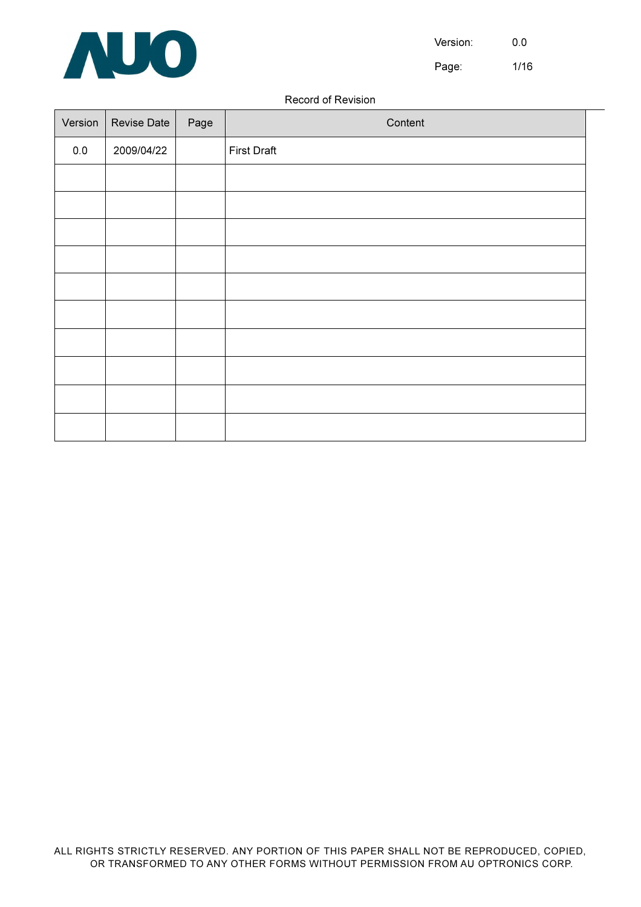

Version: 0.0

Page: 1/16

#### Record of Revision

| Version | Revise Date | Page | Content            |
|---------|-------------|------|--------------------|
| $0.0\,$ | 2009/04/22  |      | <b>First Draft</b> |
|         |             |      |                    |
|         |             |      |                    |
|         |             |      |                    |
|         |             |      |                    |
|         |             |      |                    |
|         |             |      |                    |
|         |             |      |                    |
|         |             |      |                    |
|         |             |      |                    |
|         |             |      |                    |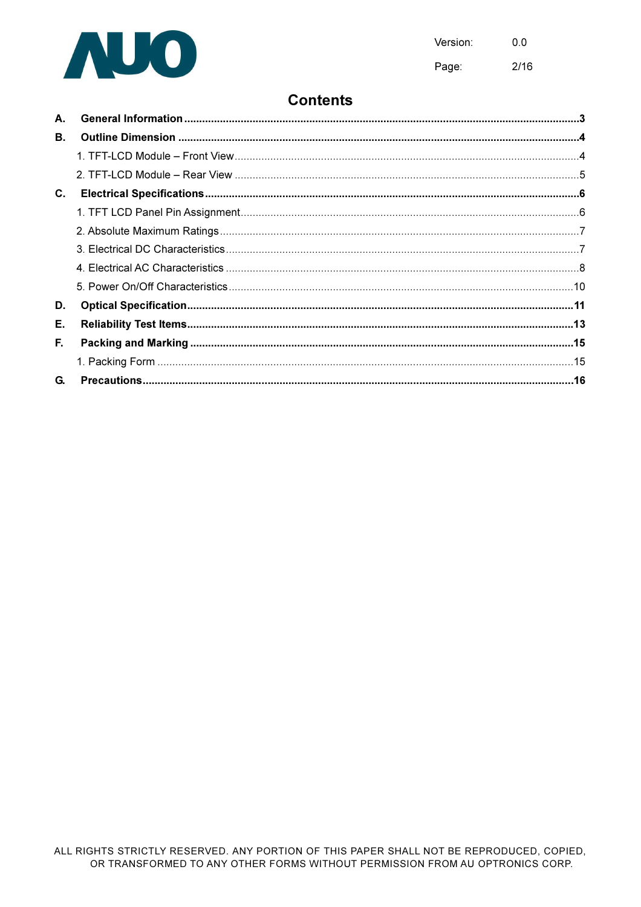

 $2/16$ Page:

## **Contents**

| А.             |  |
|----------------|--|
| <b>B.</b>      |  |
|                |  |
|                |  |
| $\mathbf{C}$ . |  |
|                |  |
|                |  |
|                |  |
|                |  |
|                |  |
| D.             |  |
| Е.             |  |
| Е.             |  |
|                |  |
| G.             |  |
|                |  |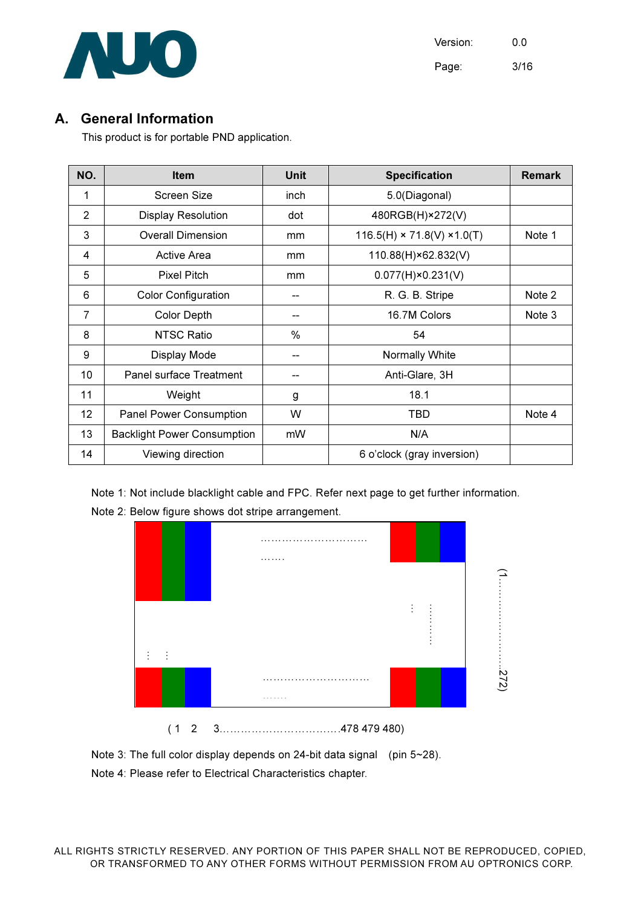

Version: 0.0 Page: 3/16

## A. General Information

This product is for portable PND application.

| NO.               | <b>Item</b>                        | Unit | <b>Specification</b>                    | <b>Remark</b> |
|-------------------|------------------------------------|------|-----------------------------------------|---------------|
| 1                 | Screen Size                        | inch | 5.0(Diagonal)                           |               |
| $\overline{2}$    | <b>Display Resolution</b>          | dot  | 480RGB(H)×272(V)                        |               |
| 3                 | <b>Overall Dimension</b>           | mm   | $116.5(H) \times 71.8(V) \times 1.0(T)$ | Note 1        |
| 4                 | Active Area                        | mm   | 110.88(H)×62.832(V)                     |               |
| 5                 | <b>Pixel Pitch</b>                 | mm   | $0.077(H) \times 0.231(V)$              |               |
| 6                 | <b>Color Configuration</b>         |      | R. G. B. Stripe                         | Note 2        |
| 7                 | <b>Color Depth</b>                 |      | 16.7M Colors                            | Note 3        |
| 8                 | <b>NTSC Ratio</b>                  | %    | 54                                      |               |
| 9                 | Display Mode                       |      | Normally White                          |               |
| 10                | Panel surface Treatment            |      | Anti-Glare, 3H                          |               |
| 11                | Weight                             | g    | 18.1                                    |               |
| $12 \overline{ }$ | Panel Power Consumption            | W    | TBD                                     | Note 4        |
| 13                | <b>Backlight Power Consumption</b> | mW   | N/A                                     |               |
| 14                | Viewing direction                  |      | 6 o'clock (gray inversion)              |               |

Note 1: Not include blacklight cable and FPC. Refer next page to get further information. Note 2: Below figure shows dot stripe arrangement.



( 1 2 3…………………………….478 479 480)

Note 3: The full color display depends on 24-bit data signal (pin 5~28). Note 4: Please refer to Electrical Characteristics chapter.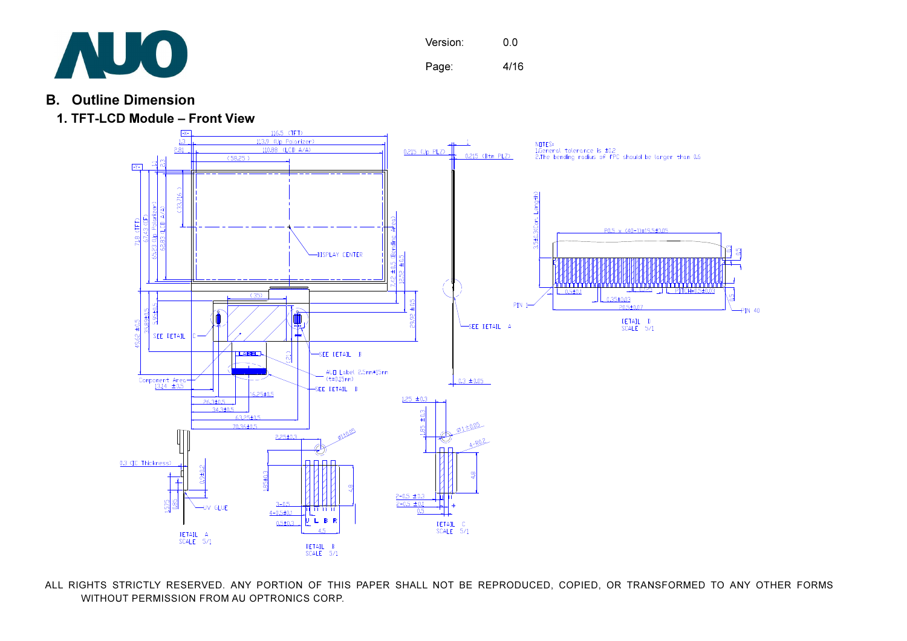

Version: 0.0 Page: 4/16

- B. Outline Dimension
	- 1. TFT-LCD Module Front View

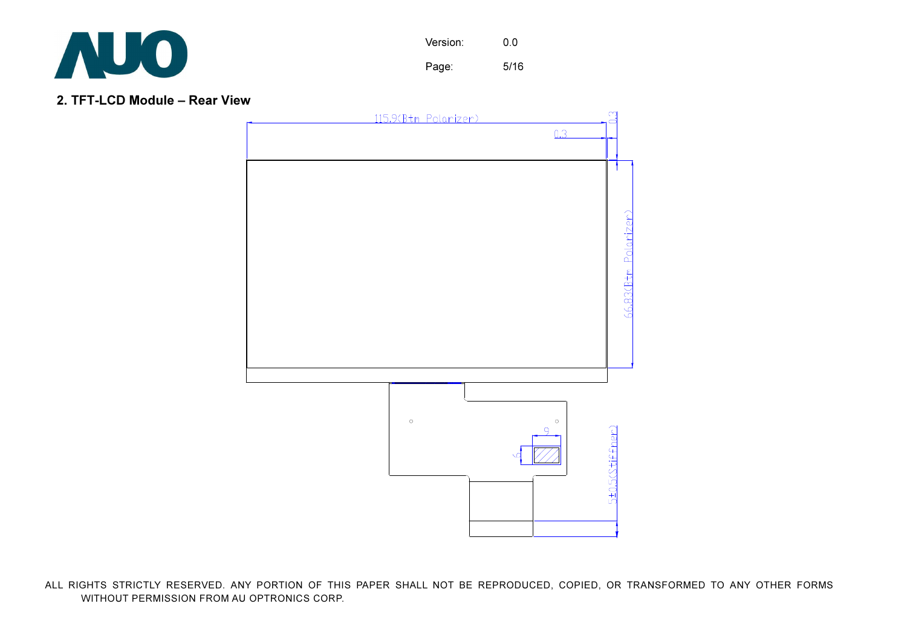

Version: 0.0 Page: 5/16

#### 2. TFT-LCD Module – Rear View

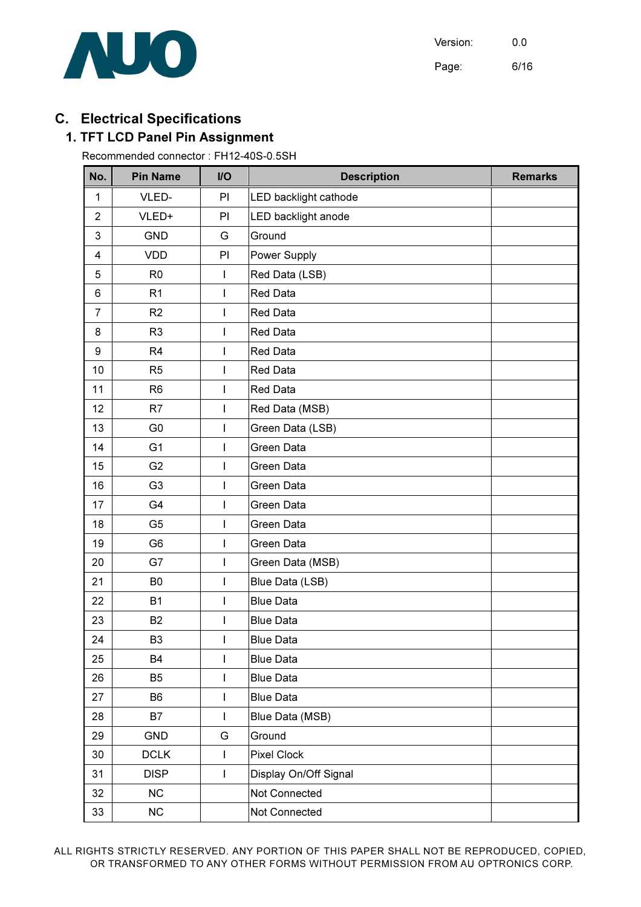

Version: 0.0 Page: 6/16

## C. Electrical Specifications

## 1. TFT LCD Panel Pin Assignment

Recommended connector : FH12-40S-0.5SH

| No.            | <b>Pin Name</b> | <b>I/O</b>                                                                                                                                                                                                                                                                                                                                                                       | <b>Description</b>    | <b>Remarks</b> |  |  |
|----------------|-----------------|----------------------------------------------------------------------------------------------------------------------------------------------------------------------------------------------------------------------------------------------------------------------------------------------------------------------------------------------------------------------------------|-----------------------|----------------|--|--|
| 1              | VLED-           | PI                                                                                                                                                                                                                                                                                                                                                                               | LED backlight cathode |                |  |  |
| $\overline{2}$ | VLED+           | PI                                                                                                                                                                                                                                                                                                                                                                               | LED backlight anode   |                |  |  |
| 3              | <b>GND</b>      | G                                                                                                                                                                                                                                                                                                                                                                                | Ground                |                |  |  |
| 4              | <b>VDD</b>      | PI                                                                                                                                                                                                                                                                                                                                                                               | Power Supply          |                |  |  |
| 5              | R <sub>0</sub>  | I                                                                                                                                                                                                                                                                                                                                                                                | Red Data (LSB)        |                |  |  |
| 6              | R <sub>1</sub>  | $\mathsf I$                                                                                                                                                                                                                                                                                                                                                                      | <b>Red Data</b>       |                |  |  |
| $\overline{7}$ | R2              | I                                                                                                                                                                                                                                                                                                                                                                                | <b>Red Data</b>       |                |  |  |
| 8              | R <sub>3</sub>  | I                                                                                                                                                                                                                                                                                                                                                                                | <b>Red Data</b>       |                |  |  |
| 9              | R <sub>4</sub>  | I                                                                                                                                                                                                                                                                                                                                                                                | <b>Red Data</b>       |                |  |  |
| 10             | R <sub>5</sub>  | I                                                                                                                                                                                                                                                                                                                                                                                | <b>Red Data</b>       |                |  |  |
| 11             | R <sub>6</sub>  | ı                                                                                                                                                                                                                                                                                                                                                                                | <b>Red Data</b>       |                |  |  |
| 12             | R7              | I                                                                                                                                                                                                                                                                                                                                                                                | Red Data (MSB)        |                |  |  |
| 13             | G <sub>0</sub>  | I                                                                                                                                                                                                                                                                                                                                                                                | Green Data (LSB)      |                |  |  |
| 14             | G <sub>1</sub>  | I                                                                                                                                                                                                                                                                                                                                                                                | Green Data            |                |  |  |
| 15             | G <sub>2</sub>  | I                                                                                                                                                                                                                                                                                                                                                                                | Green Data            |                |  |  |
| 16             | G <sub>3</sub>  | I                                                                                                                                                                                                                                                                                                                                                                                | Green Data            |                |  |  |
| 17             | G <sub>4</sub>  | I                                                                                                                                                                                                                                                                                                                                                                                | Green Data            |                |  |  |
| 18             | G <sub>5</sub>  | I                                                                                                                                                                                                                                                                                                                                                                                | Green Data            |                |  |  |
| 19             | G <sub>6</sub>  | $\overline{\phantom{a}}$                                                                                                                                                                                                                                                                                                                                                         | Green Data            |                |  |  |
| 20             | G7              | $\overline{\phantom{a}}$                                                                                                                                                                                                                                                                                                                                                         | Green Data (MSB)      |                |  |  |
| 21             | B <sub>0</sub>  | I                                                                                                                                                                                                                                                                                                                                                                                | Blue Data (LSB)       |                |  |  |
| 22             | <b>B1</b>       | I                                                                                                                                                                                                                                                                                                                                                                                | <b>Blue Data</b>      |                |  |  |
| 23             | <b>B2</b>       | I                                                                                                                                                                                                                                                                                                                                                                                | <b>Blue Data</b>      |                |  |  |
| 24             | B <sub>3</sub>  | I                                                                                                                                                                                                                                                                                                                                                                                | <b>Blue Data</b>      |                |  |  |
| 25             | <b>B4</b>       | $\mathsf I$                                                                                                                                                                                                                                                                                                                                                                      | <b>Blue Data</b>      |                |  |  |
| 26             | B <sub>5</sub>  | $\begin{array}{c} \rule{0pt}{2.5ex} \rule{0pt}{2.5ex} \rule{0pt}{2.5ex} \rule{0pt}{2.5ex} \rule{0pt}{2.5ex} \rule{0pt}{2.5ex} \rule{0pt}{2.5ex} \rule{0pt}{2.5ex} \rule{0pt}{2.5ex} \rule{0pt}{2.5ex} \rule{0pt}{2.5ex} \rule{0pt}{2.5ex} \rule{0pt}{2.5ex} \rule{0pt}{2.5ex} \rule{0pt}{2.5ex} \rule{0pt}{2.5ex} \rule{0pt}{2.5ex} \rule{0pt}{2.5ex} \rule{0pt}{2.5ex} \rule{0$ | <b>Blue Data</b>      |                |  |  |
| 27             | <b>B6</b>       | $\begin{array}{c} \rule{0pt}{2.5ex} \rule{0pt}{2.5ex} \rule{0pt}{2.5ex} \rule{0pt}{2.5ex} \rule{0pt}{2.5ex} \rule{0pt}{2.5ex} \rule{0pt}{2.5ex} \rule{0pt}{2.5ex} \rule{0pt}{2.5ex} \rule{0pt}{2.5ex} \rule{0pt}{2.5ex} \rule{0pt}{2.5ex} \rule{0pt}{2.5ex} \rule{0pt}{2.5ex} \rule{0pt}{2.5ex} \rule{0pt}{2.5ex} \rule{0pt}{2.5ex} \rule{0pt}{2.5ex} \rule{0pt}{2.5ex} \rule{0$ | <b>Blue Data</b>      |                |  |  |
| 28             | B7              | $\begin{array}{c} \rule{0pt}{2.5ex} \rule{0pt}{2.5ex} \rule{0pt}{2.5ex} \rule{0pt}{2.5ex} \rule{0pt}{2.5ex} \rule{0pt}{2.5ex} \rule{0pt}{2.5ex} \rule{0pt}{2.5ex} \rule{0pt}{2.5ex} \rule{0pt}{2.5ex} \rule{0pt}{2.5ex} \rule{0pt}{2.5ex} \rule{0pt}{2.5ex} \rule{0pt}{2.5ex} \rule{0pt}{2.5ex} \rule{0pt}{2.5ex} \rule{0pt}{2.5ex} \rule{0pt}{2.5ex} \rule{0pt}{2.5ex} \rule{0$ | Blue Data (MSB)       |                |  |  |
| 29             | GND             | G                                                                                                                                                                                                                                                                                                                                                                                | Ground                |                |  |  |
| 30             | <b>DCLK</b>     | $\begin{array}{c} \rule{0pt}{2.5ex} \rule{0pt}{2.5ex} \rule{0pt}{2.5ex} \rule{0pt}{2.5ex} \rule{0pt}{2.5ex} \rule{0pt}{2.5ex} \rule{0pt}{2.5ex} \rule{0pt}{2.5ex} \rule{0pt}{2.5ex} \rule{0pt}{2.5ex} \rule{0pt}{2.5ex} \rule{0pt}{2.5ex} \rule{0pt}{2.5ex} \rule{0pt}{2.5ex} \rule{0pt}{2.5ex} \rule{0pt}{2.5ex} \rule{0pt}{2.5ex} \rule{0pt}{2.5ex} \rule{0pt}{2.5ex} \rule{0$ | Pixel Clock           |                |  |  |
| 31             | <b>DISP</b>     | I                                                                                                                                                                                                                                                                                                                                                                                | Display On/Off Signal |                |  |  |
| 32             | NC              |                                                                                                                                                                                                                                                                                                                                                                                  | Not Connected         |                |  |  |
| 33             | NC              |                                                                                                                                                                                                                                                                                                                                                                                  | Not Connected         |                |  |  |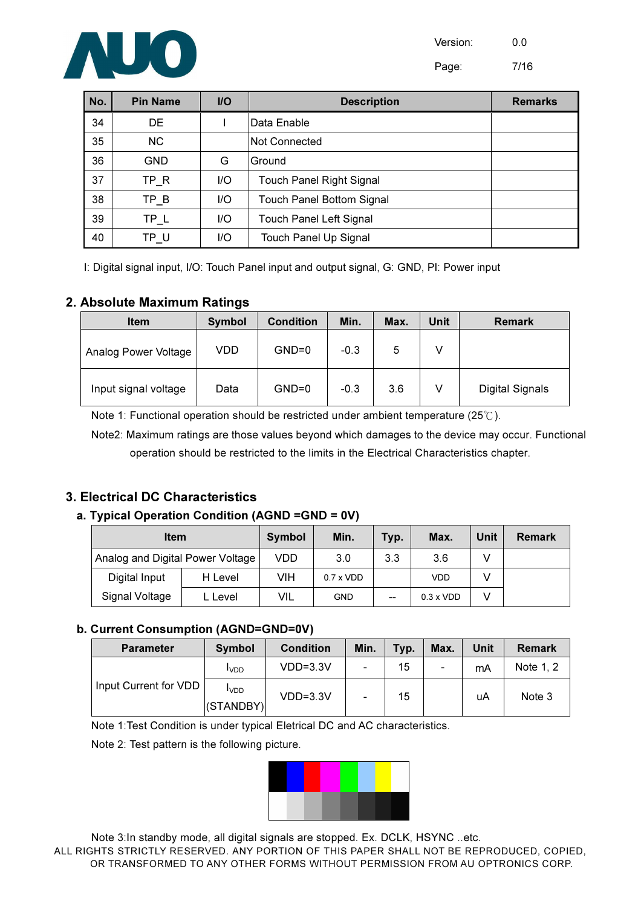Version: 0.0



Page: 7/16

| No. | <b>Pin Name</b> | <b>I/O</b> | <b>Description</b>               | <b>Remarks</b> |
|-----|-----------------|------------|----------------------------------|----------------|
| 34  | DE              |            | Data Enable                      |                |
| 35  | <b>NC</b>       |            | Not Connected                    |                |
| 36  | <b>GND</b>      | G          | Ground                           |                |
| 37  | TP R            | I/O        | Touch Panel Right Signal         |                |
| 38  | TP B            | I/O        | <b>Touch Panel Bottom Signal</b> |                |
| 39  | TP L            | I/O        | <b>Touch Panel Left Signal</b>   |                |
| 40  | TP U            | I/O        | <b>Touch Panel Up Signal</b>     |                |

I: Digital signal input, I/O: Touch Panel input and output signal, G: GND, PI: Power input

#### 2. Absolute Maximum Ratings

| <b>Item</b>          | Symbol | <b>Condition</b> | Min.   | Max. | Unit | <b>Remark</b>   |
|----------------------|--------|------------------|--------|------|------|-----------------|
| Analog Power Voltage | VDD    | $GND=0$          | $-0.3$ | 5    |      |                 |
| Input signal voltage | Data   | $GND=0$          | $-0.3$ | 3.6  |      | Digital Signals |

Note 1: Functional operation should be restricted under ambient temperature (25 $\degree$ C).

Note2: Maximum ratings are those values beyond which damages to the device may occur. Functional operation should be restricted to the limits in the Electrical Characteristics chapter.

### 3. Electrical DC Characteristics

#### a. Typical Operation Condition (AGND =GND = 0V)

| <b>Item</b>                      |         | <b>Symbol</b> | Min.             | Typ.  | Max.             | <b>Unit</b> | <b>Remark</b> |
|----------------------------------|---------|---------------|------------------|-------|------------------|-------------|---------------|
| Analog and Digital Power Voltage |         | VDD           | 3.0              | 3.3   | 3.6              |             |               |
| Digital Input                    | H Level | VIH           | $0.7 \times VDD$ |       | VDD              |             |               |
| Signal Voltage                   | L Level | VIL           | <b>GND</b>       | $- -$ | $0.3 \times VDD$ |             |               |

#### b. Current Consumption (AGND=GND=0V)

| <b>Parameter</b>      | Symbol                            | <b>Condition</b> | Min.                     | Typ. | Max. | Unit | <b>Remark</b> |
|-----------------------|-----------------------------------|------------------|--------------------------|------|------|------|---------------|
|                       | <b>I</b> VDD                      | $VDD=3.3V$       | $\overline{\phantom{0}}$ | 15   |      | mA   | Note 1, 2     |
| Input Current for VDD | <b>I</b> VDD<br>$ $ (STANDBY) $ $ | $VDD=3.3V$       | $\overline{\phantom{0}}$ | 15   |      | uA   | Note 3        |

Note 1:Test Condition is under typical Eletrical DC and AC characteristics.

Note 2: Test pattern is the following picture.



ALL RIGHTS STRICTLY RESERVED. ANY PORTION OF THIS PAPER SHALL NOT BE REPRODUCED, COPIED, OR TRANSFORMED TO ANY OTHER FORMS WITHOUT PERMISSION FROM AU OPTRONICS CORP. Note 3:In standby mode, all digital signals are stopped. Ex. DCLK, HSYNC ..etc.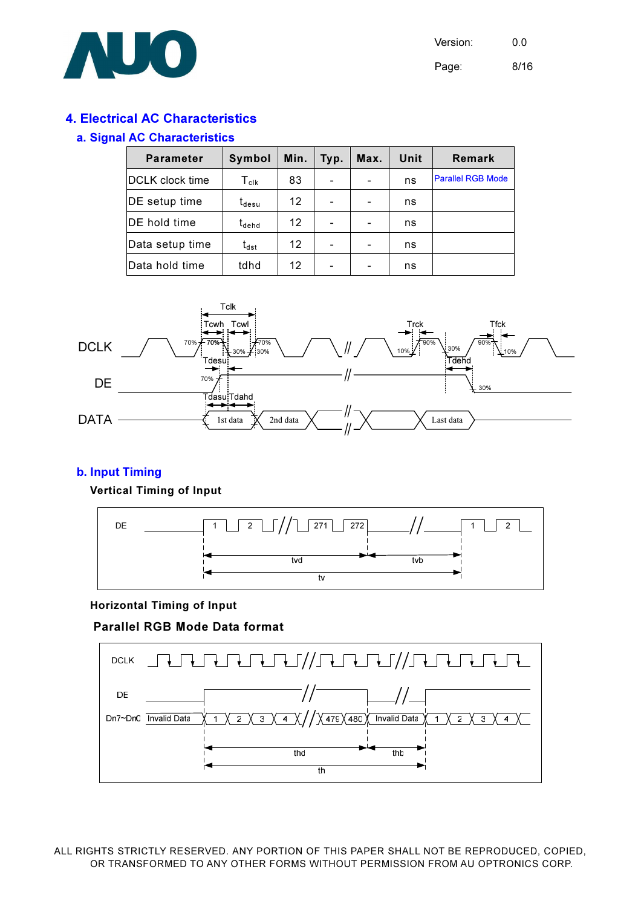

#### 4. Electrical AC Characteristics

#### a. Signal AC Characteristics

| <b>Parameter</b> | Symbol                         | Min. | Typ. | Max. | Unit | Remark                   |
|------------------|--------------------------------|------|------|------|------|--------------------------|
| DCLK clock time  | $\mathsf{T}_{\mathsf{clk}}$    | 83   |      |      | ns   | <b>Parallel RGB Mode</b> |
| DE setup time    | t <sub>desu</sub>              | 12   |      |      | ns   |                          |
| DE hold time     | $\mathfrak{r}_{\mathsf{dehd}}$ | 12   |      |      | ns   |                          |
| Data setup time  | t <sub>dst</sub>               | 12   |      |      | ns   |                          |
| Data hold time   | tdhd                           | 12   |      | -    | ns   |                          |



#### b. Input Timing

#### Vertical Timing of Input



#### Horizontal Timing of Input

#### Parallel RGB Mode Data format

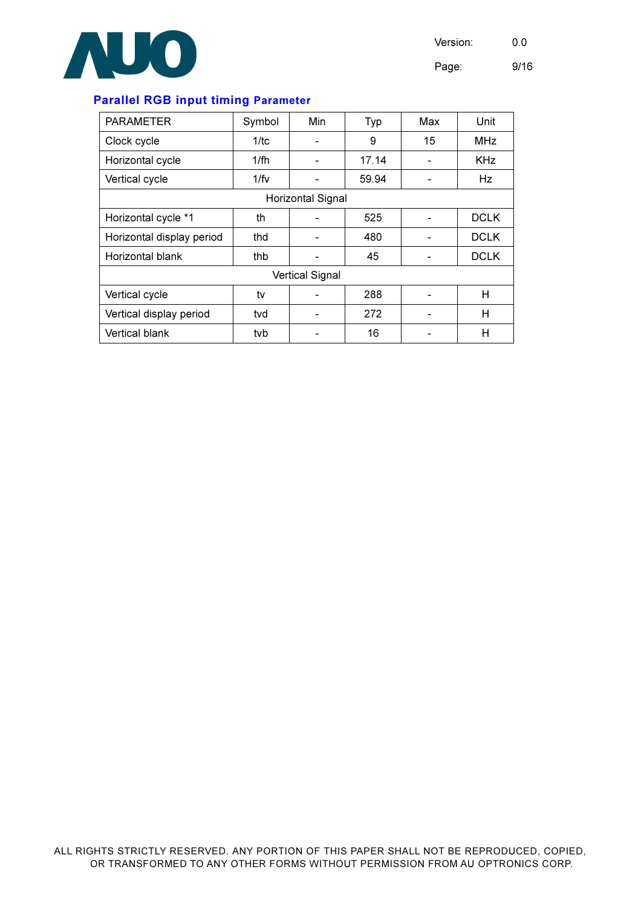

Version: 0.0

Page: 9/16

#### Parallel RGB input timing Parameter

| <b>PARAMETER</b>          | Symbol | Min | Typ   | Max | Unit        |  |  |  |
|---------------------------|--------|-----|-------|-----|-------------|--|--|--|
| Clock cycle               | 1/tc   |     | 9     | 15  | <b>MHz</b>  |  |  |  |
| Horizontal cycle          | 1/fh   |     | 17.14 |     | <b>KHz</b>  |  |  |  |
| Vertical cycle            | 1/fv   |     | 59.94 |     | Hz          |  |  |  |
| Horizontal Signal         |        |     |       |     |             |  |  |  |
| Horizontal cycle *1       | th     |     | 525   |     | <b>DCLK</b> |  |  |  |
| Horizontal display period | thd    |     | 480   |     | <b>DCLK</b> |  |  |  |
| Horizontal blank          | thb    |     | 45    |     | <b>DCLK</b> |  |  |  |
| <b>Vertical Signal</b>    |        |     |       |     |             |  |  |  |
| Vertical cycle            | tv     |     | 288   |     | H           |  |  |  |
| Vertical display period   | tvd    |     | 272   |     | H           |  |  |  |
| <b>Vertical blank</b>     | tvb    |     | 16    |     | Н           |  |  |  |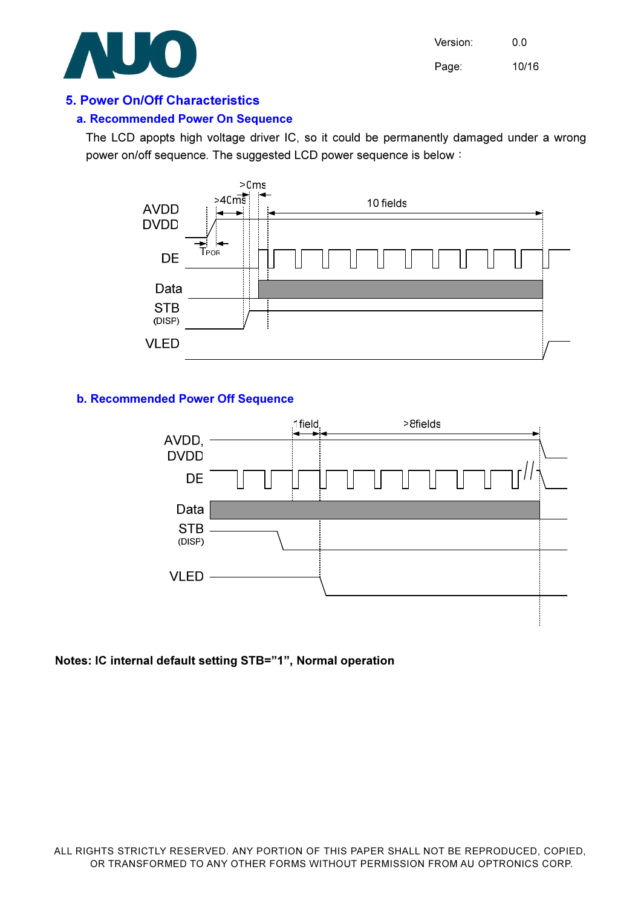

Version: 0.0 Page: 10/16

#### 5. Power On/Off Characteristics

#### a. Recommended Power On Sequence

The LCD apopts high voltage driver IC, so it could be permanently damaged under a wrong power on/off sequence. The suggested LCD power sequence is below :



#### b. Recommended Power Off Sequence



#### Notes: IC internal default setting STB="1", Normal operation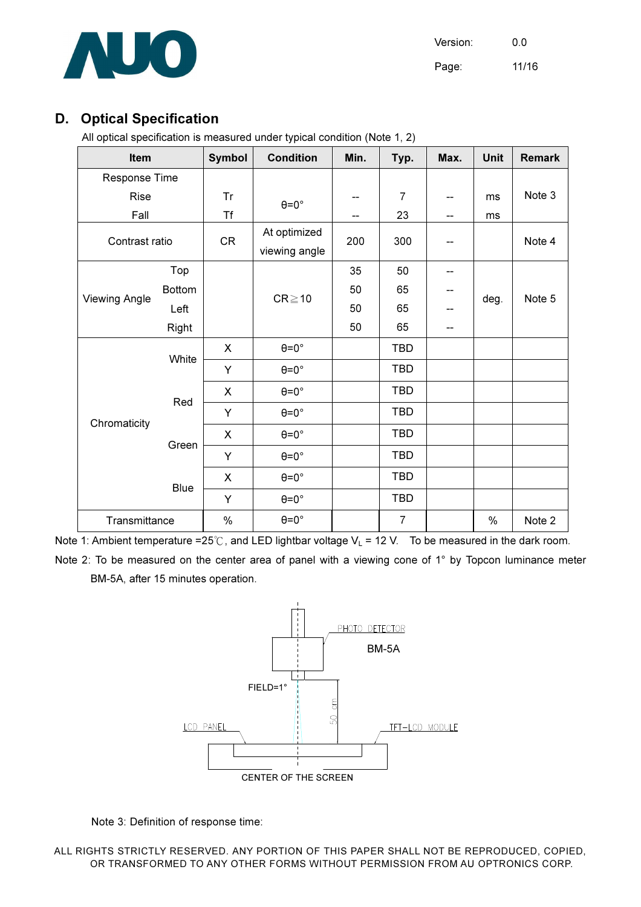

Version: 0.0 Page: 11/16

## D. Optical Specification

All optical specification is measured under typical condition (Note 1, 2)

| Item                 |               | <b>Symbol</b> | <b>Condition</b>              | Min. | Typ.           | Max. | <b>Unit</b> | <b>Remark</b> |
|----------------------|---------------|---------------|-------------------------------|------|----------------|------|-------------|---------------|
| Response Time        |               |               |                               |      |                |      |             |               |
| Rise                 |               | <b>Tr</b>     | $\theta = 0^\circ$            |      | $\overline{7}$ | --   | ms          | Note 3        |
| Fall                 |               | <b>Tf</b>     |                               | --   | 23             | --   | ms          |               |
| Contrast ratio       |               | <b>CR</b>     | At optimized<br>viewing angle | 200  | 300            | --   |             | Note 4        |
| <b>Viewing Angle</b> | Top           |               | $CR \ge 10$                   | 35   | 50             |      | deg.        | Note 5        |
|                      | <b>Bottom</b> |               |                               | 50   | 65             |      |             |               |
|                      | Left          |               |                               | 50   | 65             | --   |             |               |
|                      | Right         |               |                               | 50   | 65             | --   |             |               |
| Chromaticity         | White         | X             | $\theta = 0^{\circ}$          |      | <b>TBD</b>     |      |             |               |
|                      |               | Υ             | $\theta = 0^\circ$            |      | <b>TBD</b>     |      |             |               |
|                      | Red           | X             | $\theta = 0^\circ$            |      | <b>TBD</b>     |      |             |               |
|                      |               | Υ             | $\theta = 0^{\circ}$          |      | <b>TBD</b>     |      |             |               |
|                      | Green         | X             | $\theta = 0^{\circ}$          |      | <b>TBD</b>     |      |             |               |
|                      |               | Υ             | $\theta = 0^{\circ}$          |      | <b>TBD</b>     |      |             |               |
|                      | <b>Blue</b>   | X             | $\theta = 0^{\circ}$          |      | <b>TBD</b>     |      |             |               |
|                      |               | Y             | $\theta = 0^{\circ}$          |      | <b>TBD</b>     |      |             |               |
| Transmittance        |               | $\%$          | $\theta = 0^\circ$            |      | $\overline{7}$ |      | %           | Note 2        |

Note 1: Ambient temperature =25°C, and LED lightbar voltage  $V_L$  = 12 V. To be measured in the dark room.

Note 2: To be measured on the center area of panel with a viewing cone of 1° by Topcon luminance meter BM-5A, after 15 minutes operation.



Note 3: Definition of response time: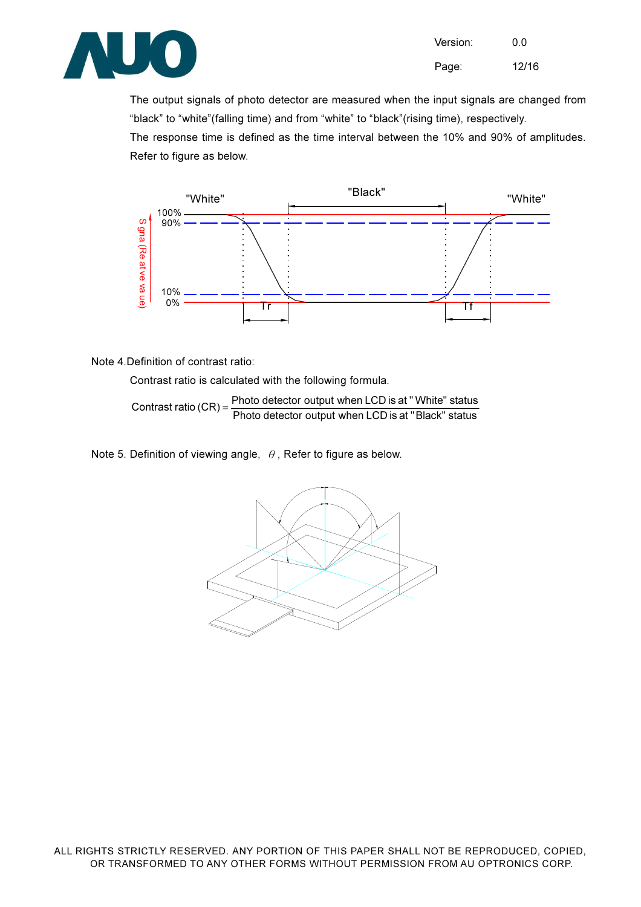

 The output signals of photo detector are measured when the input signals are changed from "black" to "white"(falling time) and from "white" to "black"(rising time), respectively. The response time is defined as the time interval between the 10% and 90% of amplitudes. Refer to figure as below.



#### Note 4.Definition of contrast ratio:

Contrast ratio is calculated with the following formula.

Photo detector output when LCD is at "Black" status Contrast ratio  $(CR) = \frac{\text{Photo detector output when LCD is at "White" status}}{\text{Total Area}}$ 

Note 5. Definition of viewing angle,  $\theta$ , Refer to figure as below.

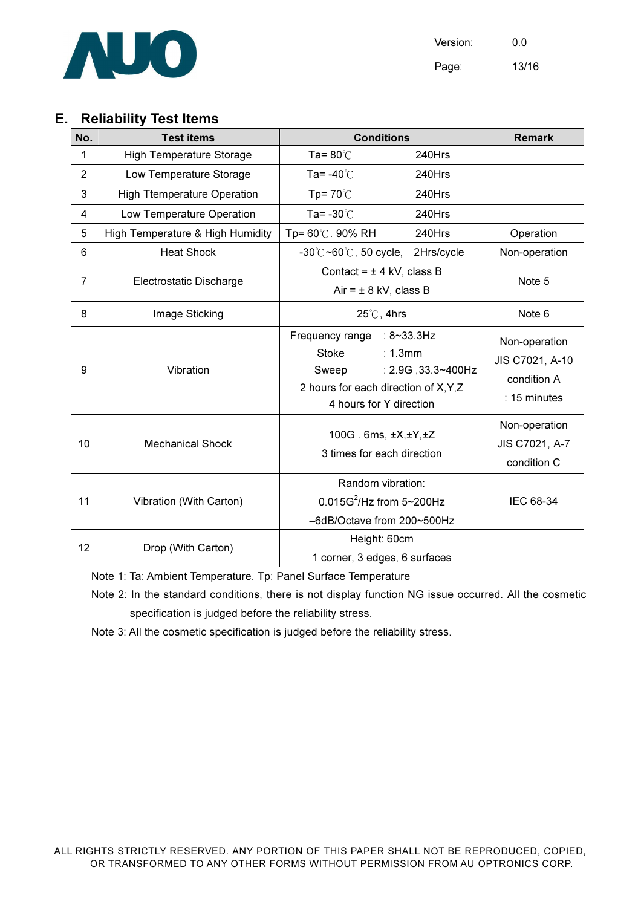

Version: 0.0 Page: 13/16

### E. Reliability Test Items

| No.            | <b>Test items</b>                  | <b>Conditions</b>                                                                                                                  | <b>Remark</b>      |                                                                 |
|----------------|------------------------------------|------------------------------------------------------------------------------------------------------------------------------------|--------------------|-----------------------------------------------------------------|
| 1              | <b>High Temperature Storage</b>    | Ta= $80^{\circ}$ C                                                                                                                 | 240Hrs             |                                                                 |
| $\overline{2}$ | Low Temperature Storage            | Ta= $-40^{\circ}$ C                                                                                                                | 240Hrs             |                                                                 |
| 3              | <b>High Ttemperature Operation</b> | Tp= $70^{\circ}$ C                                                                                                                 | 240Hrs             |                                                                 |
| 4              | Low Temperature Operation          | Ta= $-30^{\circ}$ C                                                                                                                | 240Hrs             |                                                                 |
| 5              | High Temperature & High Humidity   | Tp= 60℃. 90% RH                                                                                                                    | 240Hrs             | Operation                                                       |
| 6              | <b>Heat Shock</b>                  | -30°C~60°C, 50 cycle, 2Hrs/cycle                                                                                                   |                    | Non-operation                                                   |
| 7              | Electrostatic Discharge            | Contact = $\pm$ 4 kV, class B<br>$Air = ± 8$ kV, class B                                                                           |                    | Note 5                                                          |
| 8              | Image Sticking                     | $25^{\circ}$ C, 4hrs                                                                                                               |                    | Note 6                                                          |
| 9              | Vibration                          | Frequency range : 8~33.3Hz<br><b>Stoke</b><br>: 1.3mm<br>Sweep<br>2 hours for each direction of X, Y, Z<br>4 hours for Y direction | : 2.9G, 33.3~400Hz | Non-operation<br>JIS C7021, A-10<br>condition A<br>: 15 minutes |
| 10             | <b>Mechanical Shock</b>            | 100G. 6ms, ±X,±Y,±Z<br>3 times for each direction                                                                                  |                    | Non-operation<br>JIS C7021, A-7<br>condition C                  |
| 11             | Vibration (With Carton)            | Random vibration:<br>$0.015G^2$ /Hz from 5~200Hz<br>-6dB/Octave from 200~500Hz                                                     |                    | IEC 68-34                                                       |
| 12             | Drop (With Carton)                 | Height: 60cm<br>1 corner, 3 edges, 6 surfaces                                                                                      |                    |                                                                 |

Note 1: Ta: Ambient Temperature. Tp: Panel Surface Temperature

Note 2: In the standard conditions, there is not display function NG issue occurred. All the cosmetic specification is judged before the reliability stress.

Note 3: All the cosmetic specification is judged before the reliability stress.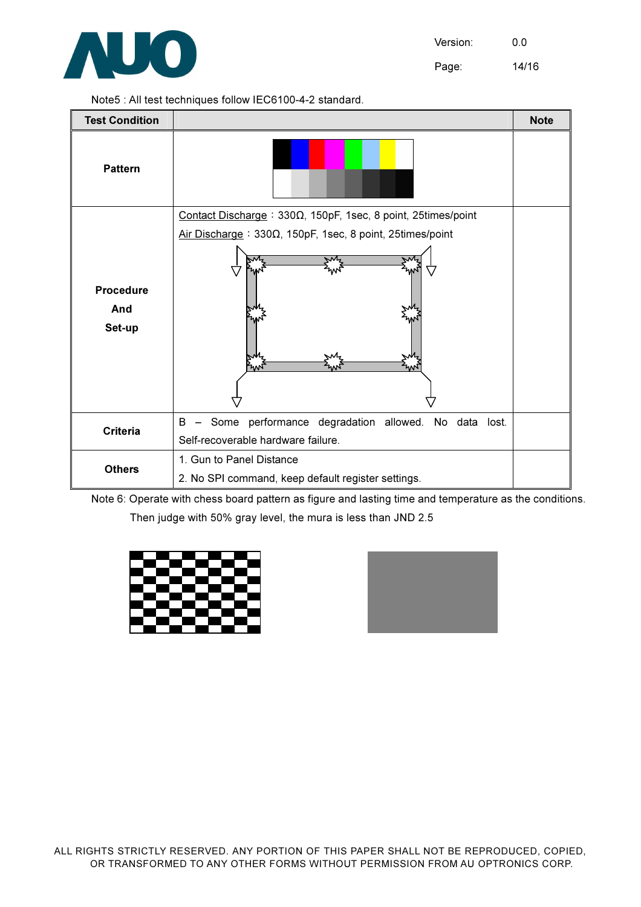

Page: 14/16

Note5 : All test techniques follow IEC6100-4-2 standard.

| <b>Test Condition</b> |                                                                      | <b>Note</b> |  |  |  |
|-----------------------|----------------------------------------------------------------------|-------------|--|--|--|
| <b>Pattern</b>        |                                                                      |             |  |  |  |
|                       | Contact Discharge: $330\Omega$ , 150pF, 1sec, 8 point, 25times/point |             |  |  |  |
|                       | $Air Discharge : 330\Omega, 150pF, 1sec, 8 point, 25 times/point$    |             |  |  |  |
|                       |                                                                      |             |  |  |  |
| <b>Procedure</b>      |                                                                      |             |  |  |  |
| And                   |                                                                      |             |  |  |  |
| Set-up                | 'W                                                                   |             |  |  |  |
|                       | - Some performance degradation allowed. No data lost.<br>B           |             |  |  |  |
| <b>Criteria</b>       | Self-recoverable hardware failure.                                   |             |  |  |  |
|                       | 1. Gun to Panel Distance                                             |             |  |  |  |
| <b>Others</b>         | 2. No SPI command, keep default register settings.                   |             |  |  |  |

Note 6: Operate with chess board pattern as figure and lasting time and temperature as the conditions.

Then judge with 50% gray level, the mura is less than JND 2.5



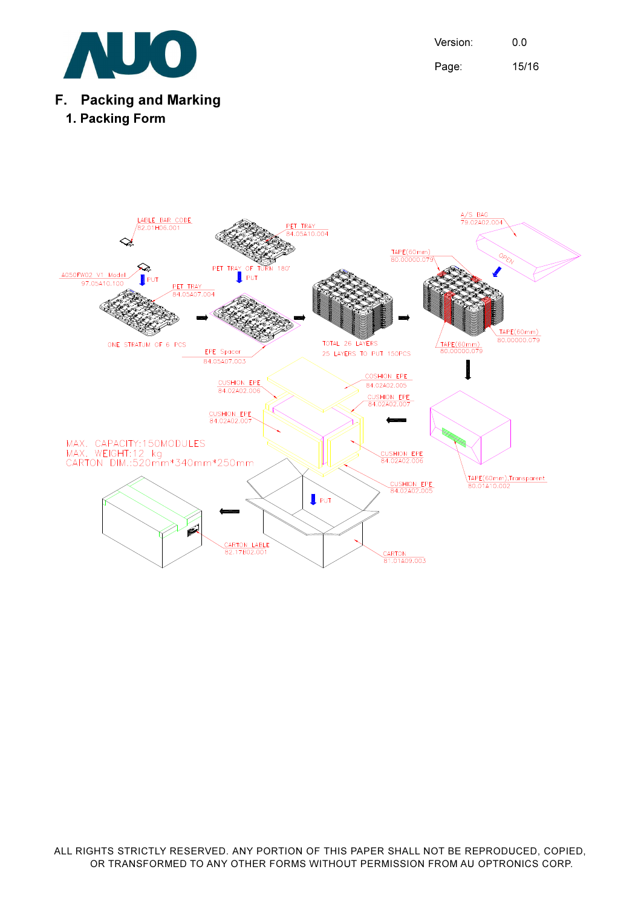

## Version: 0.0 Page: 15/16

## F. Packing and Marking

### 1. Packing Form